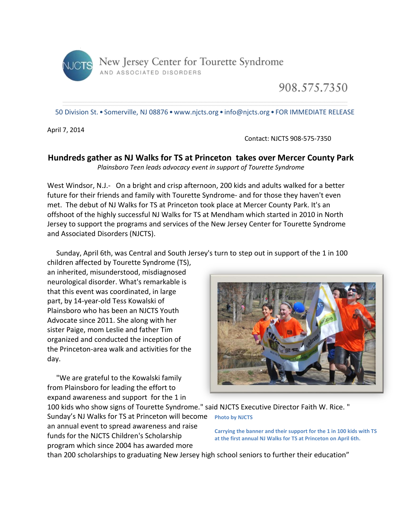

908.575.7350

50 Division St. • Somerville, NJ 08876 •www.njcts.org • info@njcts.org • FOR IMMEDIATE RELEASE

April 7, 2014

Contact: NJCTS 908-575-7350

## **Hundreds gather as NJ Walks for TS at Princeton takes over Mercer County Park**

*Plainsboro Teen leads advocacy event in support of Tourette Syndrome*

West Windsor, N.J.- On a bright and crisp afternoon, 200 kids and adults walked for a better future for their friends and family with Tourette Syndrome- and for those they haven't even met. The debut of NJ Walks for TS at Princeton took place at Mercer County Park. It's an offshoot of the highly successful NJ Walks for TS at Mendham which started in 2010 in North Jersey to support the programs and services of the New Jersey Center for Tourette Syndrome and Associated Disorders (NJCTS).

Sunday, April 6th, was Central and South Jersey's turn to step out in support of the 1 in 100

children affected by Tourette Syndrome (TS), an inherited, misunderstood, misdiagnosed neurological disorder. What's remarkable is that this event was coordinated, in large part, by 14-year-old Tess Kowalski of Plainsboro who has been an NJCTS Youth Advocate since 2011. She along with her sister Paige, mom Leslie and father Tim organized and conducted the inception of the Princeton-area walk and activities for the day.

 "We are grateful to the Kowalski family from Plainsboro for leading the effort to expand awareness and support for the 1 in



100 kids who show signs of Tourette Syndrome." said NJCTS Executive Director Faith W. Rice. " Sunday's NJ Walks for TS at Princeton will become **Photo by NJCTS** an annual event to spread awareness and raise funds for the NJCTS Children's Scholarship program which since 2004 has awarded more

**Carrying the banner and their support for the 1 in 100 kids with TS at the first annual NJ Walks for TS at Princeton on April 6th.**

than 200 scholarships to graduating New Jersey high school seniors to further their education"